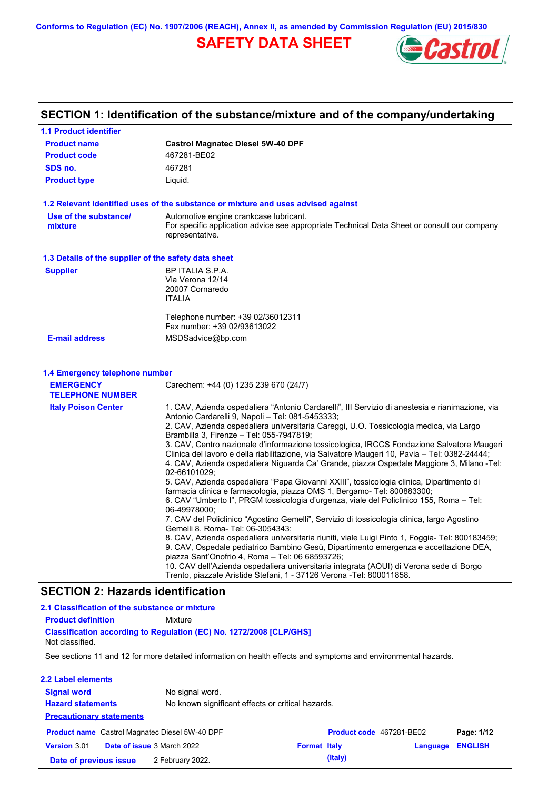**Conforms to Regulation (EC) No. 1907/2006 (REACH), Annex II, as amended by Commission Regulation (EU) 2015/830**

# **SAFETY DATA SHEET**



# **SECTION 1: Identification of the substance/mixture and of the company/undertaking**

| <b>1.1 Product identifier</b>                         |                                                                                                                                                                                                                                                                                                                                                     |
|-------------------------------------------------------|-----------------------------------------------------------------------------------------------------------------------------------------------------------------------------------------------------------------------------------------------------------------------------------------------------------------------------------------------------|
| <b>Product name</b>                                   | <b>Castrol Magnatec Diesel 5W-40 DPF</b>                                                                                                                                                                                                                                                                                                            |
| <b>Product code</b>                                   | 467281-BE02                                                                                                                                                                                                                                                                                                                                         |
| SDS no.                                               | 467281                                                                                                                                                                                                                                                                                                                                              |
| <b>Product type</b>                                   | Liquid.                                                                                                                                                                                                                                                                                                                                             |
|                                                       | 1.2 Relevant identified uses of the substance or mixture and uses advised against                                                                                                                                                                                                                                                                   |
| Use of the substance/<br>mixture                      | Automotive engine crankcase lubricant.<br>For specific application advice see appropriate Technical Data Sheet or consult our company<br>representative.                                                                                                                                                                                            |
| 1.3 Details of the supplier of the safety data sheet  |                                                                                                                                                                                                                                                                                                                                                     |
| <b>Supplier</b>                                       | BP ITALIA S.P.A.<br>Via Verona 12/14<br>20007 Cornaredo<br><b>ITALIA</b>                                                                                                                                                                                                                                                                            |
|                                                       | Telephone number: +39 02/36012311<br>Fax number: +39 02/93613022                                                                                                                                                                                                                                                                                    |
| <b>E-mail address</b>                                 | MSDSadvice@bp.com                                                                                                                                                                                                                                                                                                                                   |
| <b>TELEPHONE NUMBER</b><br><b>Italy Poison Center</b> | 1. CAV, Azienda ospedaliera "Antonio Cardarelli", III Servizio di anestesia e rianimazione, via                                                                                                                                                                                                                                                     |
| <b>EMERGENCY</b>                                      | Carechem: +44 (0) 1235 239 670 (24/7)                                                                                                                                                                                                                                                                                                               |
|                                                       | Antonio Cardarelli 9, Napoli - Tel: 081-5453333;<br>2. CAV, Azienda ospedaliera universitaria Careggi, U.O. Tossicologia medica, via Largo                                                                                                                                                                                                          |
|                                                       | Brambilla 3, Firenze - Tel: 055-7947819;<br>3. CAV, Centro nazionale d'informazione tossicologica, IRCCS Fondazione Salvatore Maugeri<br>Clinica del lavoro e della riabilitazione, via Salvatore Maugeri 10, Pavia – Tel: 0382-24444;<br>4. CAV, Azienda ospedaliera Niguarda Ca' Grande, piazza Ospedale Maggiore 3, Milano -Tel:<br>02-66101029; |
|                                                       | 5. CAV, Azienda ospedaliera "Papa Giovanni XXIII", tossicologia clinica, Dipartimento di<br>farmacia clinica e farmacologia, piazza OMS 1, Bergamo- Tel: 800883300;<br>6. CAV "Umberto I", PRGM tossicologia d'urgenza, viale del Policlinico 155, Roma – Tel:                                                                                      |
|                                                       | 06-49978000;<br>7. CAV del Policlinico "Agostino Gemelli", Servizio di tossicologia clinica, largo Agostino                                                                                                                                                                                                                                         |
|                                                       | Gemelli 8, Roma- Tel: 06-3054343;<br>8. CAV, Azienda ospedaliera universitaria riuniti, viale Luigi Pinto 1, Foggia- Tel: 800183459;<br>9. CAV, Ospedale pediatrico Bambino Gesù, Dipartimento emergenza e accettazione DEA,<br>piazza Sant'Onofrio 4, Roma - Tel: 06 68593726;                                                                     |
|                                                       | 10. CAV dell'Azienda ospedaliera universitaria integrata (AOUI) di Verona sede di Borgo<br>Trento, piazzale Aristide Stefani, 1 - 37126 Verona -Tel: 800011858.                                                                                                                                                                                     |
| <b>SECTION 2: Hazards identification</b>              |                                                                                                                                                                                                                                                                                                                                                     |
| 2.1 Classification of the substance or mixture        |                                                                                                                                                                                                                                                                                                                                                     |
| <b>Product definition</b>                             | <b>Mixture</b>                                                                                                                                                                                                                                                                                                                                      |

**Classification according to Regulation (EC) No. 1272/2008 [CLP/GHS]** Not classified.

 $\overline{\phantom{a}}$ 

See sections 11 and 12 for more detailed information on health effects and symptoms and environmental hazards.

| 2.2 Label elements                                    |                                                   |                     |                          |          |                |  |
|-------------------------------------------------------|---------------------------------------------------|---------------------|--------------------------|----------|----------------|--|
| <b>Signal word</b>                                    | No signal word.                                   |                     |                          |          |                |  |
| <b>Hazard statements</b>                              | No known significant effects or critical hazards. |                     |                          |          |                |  |
| <b>Precautionary statements</b>                       |                                                   |                     |                          |          |                |  |
| <b>Product name</b> Castrol Magnatec Diesel 5W-40 DPF |                                                   |                     | Product code 467281-BE02 |          | Page: 1/12     |  |
| <b>Date of issue 3 March 2022</b><br>Version 3.01     |                                                   | <b>Format Italy</b> |                          | Language | <b>ENGLISH</b> |  |
| Date of previous issue                                | 2 February 2022.                                  |                     | (Italy)                  |          |                |  |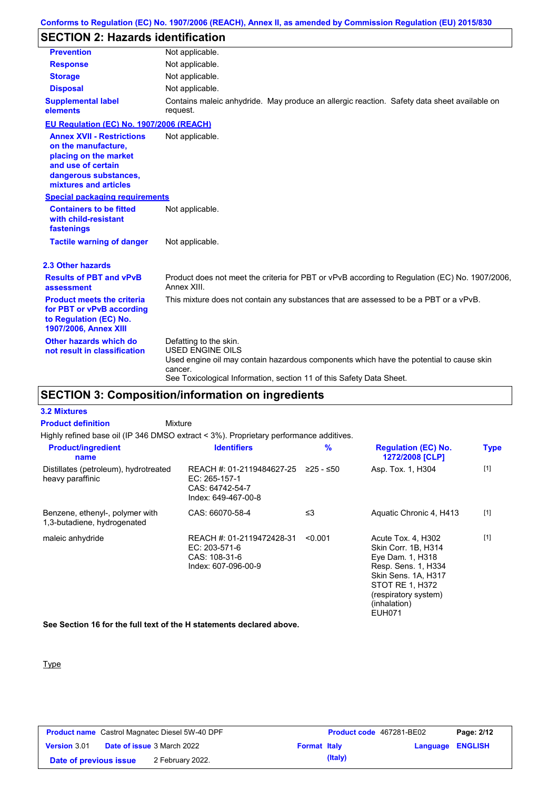### **Conforms to Regulation (EC) No. 1907/2006 (REACH), Annex II, as amended by Commission Regulation (EU) 2015/830**

# **SECTION 2: Hazards identification**

| <b>Prevention</b>                                                                                                                                        | Not applicable.                                                                                                                                                                                                                 |
|----------------------------------------------------------------------------------------------------------------------------------------------------------|---------------------------------------------------------------------------------------------------------------------------------------------------------------------------------------------------------------------------------|
| <b>Response</b>                                                                                                                                          | Not applicable.                                                                                                                                                                                                                 |
| <b>Storage</b>                                                                                                                                           | Not applicable.                                                                                                                                                                                                                 |
| <b>Disposal</b>                                                                                                                                          | Not applicable.                                                                                                                                                                                                                 |
| <b>Supplemental label</b><br>elements                                                                                                                    | Contains maleic anhydride. May produce an allergic reaction. Safety data sheet available on<br>request.                                                                                                                         |
| EU Regulation (EC) No. 1907/2006 (REACH)                                                                                                                 |                                                                                                                                                                                                                                 |
| <b>Annex XVII - Restrictions</b><br>on the manufacture,<br>placing on the market<br>and use of certain<br>dangerous substances,<br>mixtures and articles | Not applicable.                                                                                                                                                                                                                 |
| <b>Special packaging requirements</b>                                                                                                                    |                                                                                                                                                                                                                                 |
| <b>Containers to be fitted</b><br>with child-resistant<br>fastenings                                                                                     | Not applicable.                                                                                                                                                                                                                 |
| <b>Tactile warning of danger</b>                                                                                                                         | Not applicable.                                                                                                                                                                                                                 |
| 2.3 Other hazards                                                                                                                                        |                                                                                                                                                                                                                                 |
| <b>Results of PBT and vPvB</b><br>assessment                                                                                                             | Product does not meet the criteria for PBT or vPvB according to Regulation (EC) No. 1907/2006,<br>Annex XIII.                                                                                                                   |
| <b>Product meets the criteria</b><br>for PBT or vPvB according<br>to Regulation (EC) No.<br>1907/2006, Annex XIII                                        | This mixture does not contain any substances that are assessed to be a PBT or a vPvB.                                                                                                                                           |
| Other hazards which do<br>not result in classification                                                                                                   | Defatting to the skin.<br><b>USED ENGINE OILS</b><br>Used engine oil may contain hazardous components which have the potential to cause skin<br>cancer.<br>See Toxicological Information, section 11 of this Safety Data Sheet. |

# **SECTION 3: Composition/information on ingredients**

| <b>Product definition</b>                                      | <b>Mixture</b>                                                                         |               |                                                                                                                                                                                         |             |
|----------------------------------------------------------------|----------------------------------------------------------------------------------------|---------------|-----------------------------------------------------------------------------------------------------------------------------------------------------------------------------------------|-------------|
|                                                                | Highly refined base oil (IP 346 DMSO extract < 3%). Proprietary performance additives. |               |                                                                                                                                                                                         |             |
| <b>Product/ingredient</b><br>name                              | <b>Identifiers</b>                                                                     | $\frac{9}{6}$ | <b>Regulation (EC) No.</b><br>1272/2008 [CLP]                                                                                                                                           | <b>Type</b> |
| Distillates (petroleum), hydrotreated<br>heavy paraffinic      | REACH #: 01-2119484627-25<br>EC: 265-157-1<br>CAS: 64742-54-7<br>Index: 649-467-00-8   | ≥25 - ≤50     | Asp. Tox. 1, H304                                                                                                                                                                       | $[1]$       |
| Benzene, ethenyl-, polymer with<br>1,3-butadiene, hydrogenated | CAS: 66070-58-4                                                                        | ≤3            | Aquatic Chronic 4, H413                                                                                                                                                                 | $[1]$       |
| maleic anhydride                                               | REACH #: 01-2119472428-31<br>EC: 203-571-6<br>CAS: 108-31-6<br>Index: 607-096-00-9     | < 0.001       | Acute Tox. 4, H302<br>Skin Corr. 1B, H314<br>Eye Dam. 1, H318<br>Resp. Sens. 1, H334<br>Skin Sens. 1A, H317<br>STOT RE 1, H372<br>(respiratory system)<br>(inhalation)<br><b>EUH071</b> | $[1]$       |

**See Section 16 for the full text of the H statements declared above.**

### Type

**3.2 Mixtures**

| <b>Product name</b> Castrol Magnatec Diesel 5W-40 DPF |  | <b>Product code</b> 467281-BE02   |                     | Page: 2/12 |                         |  |
|-------------------------------------------------------|--|-----------------------------------|---------------------|------------|-------------------------|--|
| <b>Version 3.01</b>                                   |  | <b>Date of issue 3 March 2022</b> | <b>Format Italy</b> |            | <b>Language ENGLISH</b> |  |
| Date of previous issue                                |  | 2 February 2022.                  |                     | (Italy)    |                         |  |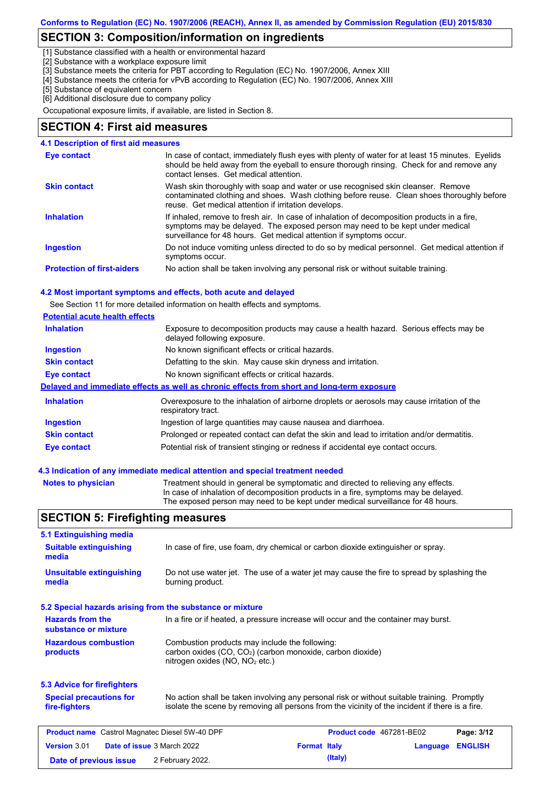### **SECTION 3: Composition/information on ingredients**

[1] Substance classified with a health or environmental hazard

[2] Substance with a workplace exposure limit

[3] Substance meets the criteria for PBT according to Regulation (EC) No. 1907/2006, Annex XIII

[4] Substance meets the criteria for vPvB according to Regulation (EC) No. 1907/2006, Annex XIII

[5] Substance of equivalent concern

[6] Additional disclosure due to company policy

Occupational exposure limits, if available, are listed in Section 8.

### **SECTION 4: First aid measures**

| 4.1 Description of first aid measures |                                                                                                                                                                                                                                                     |
|---------------------------------------|-----------------------------------------------------------------------------------------------------------------------------------------------------------------------------------------------------------------------------------------------------|
| Eye contact                           | In case of contact, immediately flush eyes with plenty of water for at least 15 minutes. Eyelids<br>should be held away from the eyeball to ensure thorough rinsing. Check for and remove any<br>contact lenses. Get medical attention.             |
| <b>Skin contact</b>                   | Wash skin thoroughly with soap and water or use recognised skin cleanser. Remove<br>contaminated clothing and shoes. Wash clothing before reuse. Clean shoes thoroughly before<br>reuse. Get medical attention if irritation develops.              |
| <b>Inhalation</b>                     | If inhaled, remove to fresh air. In case of inhalation of decomposition products in a fire,<br>symptoms may be delayed. The exposed person may need to be kept under medical<br>surveillance for 48 hours. Get medical attention if symptoms occur. |
| <b>Ingestion</b>                      | Do not induce vomiting unless directed to do so by medical personnel. Get medical attention if<br>symptoms occur.                                                                                                                                   |
| <b>Protection of first-aiders</b>     | No action shall be taken involving any personal risk or without suitable training.                                                                                                                                                                  |

#### **4.2 Most important symptoms and effects, both acute and delayed**

See Section 11 for more detailed information on health effects and symptoms.

| <b>Potential acute health effects</b> |                                                                                                                     |
|---------------------------------------|---------------------------------------------------------------------------------------------------------------------|
| <b>Inhalation</b>                     | Exposure to decomposition products may cause a health hazard. Serious effects may be<br>delayed following exposure. |
| <b>Ingestion</b>                      | No known significant effects or critical hazards.                                                                   |
| <b>Skin contact</b>                   | Defatting to the skin. May cause skin dryness and irritation.                                                       |
| Eye contact                           | No known significant effects or critical hazards.                                                                   |
|                                       | Delayed and immediate effects as well as chronic effects from short and long-term exposure                          |
| <b>Inhalation</b>                     | Overexposure to the inhalation of airborne droplets or aerosols may cause irritation of the<br>respiratory tract.   |
| <b>Ingestion</b>                      | Ingestion of large quantities may cause nausea and diarrhoea.                                                       |
| <b>Skin contact</b>                   | Prolonged or repeated contact can defat the skin and lead to irritation and/or dermatitis.                          |
| Eye contact                           | Potential risk of transient stinging or redness if accidental eye contact occurs.                                   |

#### **4.3 Indication of any immediate medical attention and special treatment needed**

| Notes to physician | Treatment should in general be symptomatic and directed to relieving any effects.   |
|--------------------|-------------------------------------------------------------------------------------|
|                    | In case of inhalation of decomposition products in a fire, symptoms may be delayed. |
|                    | The exposed person may need to be kept under medical surveillance for 48 hours.     |

### **SECTION 5: Firefighting measures**

| 5.1 Extinguishing media                               |                                                                                              |                                                                                                                                                                                                |          |                |
|-------------------------------------------------------|----------------------------------------------------------------------------------------------|------------------------------------------------------------------------------------------------------------------------------------------------------------------------------------------------|----------|----------------|
| <b>Suitable extinguishing</b><br>media                |                                                                                              | In case of fire, use foam, dry chemical or carbon dioxide extinguisher or spray.                                                                                                               |          |                |
| <b>Unsuitable extinguishing</b><br>media              | burning product.                                                                             | Do not use water jet. The use of a water jet may cause the fire to spread by splashing the                                                                                                     |          |                |
|                                                       | 5.2 Special hazards arising from the substance or mixture                                    |                                                                                                                                                                                                |          |                |
| <b>Hazards from the</b><br>substance or mixture       |                                                                                              | In a fire or if heated, a pressure increase will occur and the container may burst.                                                                                                            |          |                |
| <b>Hazardous combustion</b><br>products               | Combustion products may include the following:<br>nitrogen oxides (NO, NO <sub>2</sub> etc.) | carbon oxides (CO, CO <sub>2</sub> ) (carbon monoxide, carbon dioxide)                                                                                                                         |          |                |
| 5.3 Advice for firefighters                           |                                                                                              |                                                                                                                                                                                                |          |                |
| <b>Special precautions for</b><br>fire-fighters       |                                                                                              | No action shall be taken involving any personal risk or without suitable training. Promptly<br>isolate the scene by removing all persons from the vicinity of the incident if there is a fire. |          |                |
| <b>Product name</b> Castrol Magnatec Diesel 5W-40 DPF |                                                                                              | Product code 467281-BE02                                                                                                                                                                       |          | Page: 3/12     |
| Version 3.01                                          | Date of issue 3 March 2022                                                                   | <b>Format Italy</b>                                                                                                                                                                            | Language | <b>ENGLISH</b> |
| Date of previous issue                                | 2 February 2022.                                                                             | (Italy)                                                                                                                                                                                        |          |                |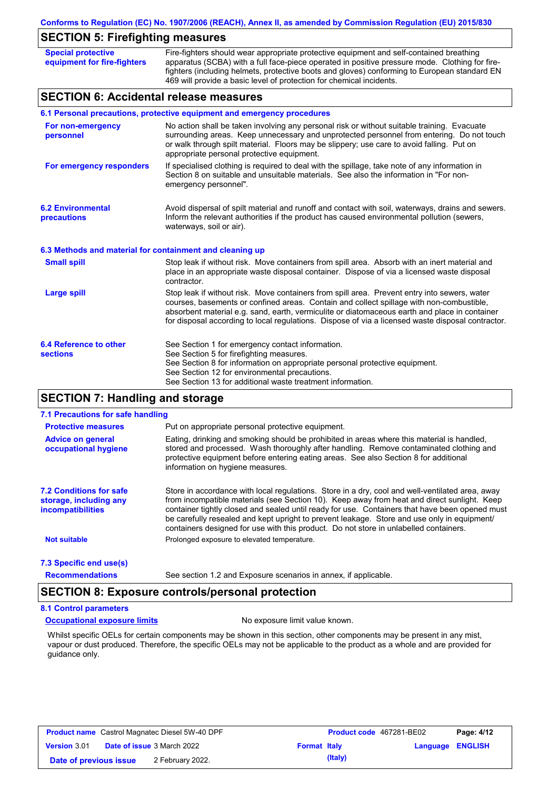|  |  | Conforms to Regulation (EC) No. 1907/2006 (REACH), Annex II, as amended by Commission Regulation (EU) 2015/830 |  |
|--|--|----------------------------------------------------------------------------------------------------------------|--|

# **SECTION 5: Firefighting measures**

| <b>Special protective</b><br>equipment for fire-fighters | Fire-fighters should wear appropriate protective equipment and self-contained breathing<br>apparatus (SCBA) with a full face-piece operated in positive pressure mode. Clothing for fire-<br>fighters (including helmets, protective boots and gloves) conforming to European standard EN<br>469 will provide a basic level of protection for chemical incidents.                              |
|----------------------------------------------------------|------------------------------------------------------------------------------------------------------------------------------------------------------------------------------------------------------------------------------------------------------------------------------------------------------------------------------------------------------------------------------------------------|
| <b>SECTION 6: Accidental release measures</b>            |                                                                                                                                                                                                                                                                                                                                                                                                |
|                                                          | 6.1 Personal precautions, protective equipment and emergency procedures                                                                                                                                                                                                                                                                                                                        |
| For non-emergency<br>personnel                           | No action shall be taken involving any personal risk or without suitable training. Evacuate<br>surrounding areas. Keep unnecessary and unprotected personnel from entering. Do not touch<br>or walk through spilt material. Floors may be slippery; use care to avoid falling. Put on<br>appropriate personal protective equipment.                                                            |
| For emergency responders                                 | If specialised clothing is required to deal with the spillage, take note of any information in<br>Section 8 on suitable and unsuitable materials. See also the information in "For non-<br>emergency personnel".                                                                                                                                                                               |
| <b>6.2 Environmental</b><br>precautions                  | Avoid dispersal of spilt material and runoff and contact with soil, waterways, drains and sewers.<br>Inform the relevant authorities if the product has caused environmental pollution (sewers,<br>waterways, soil or air).                                                                                                                                                                    |
| 6.3 Methods and material for containment and cleaning up |                                                                                                                                                                                                                                                                                                                                                                                                |
| <b>Small spill</b>                                       | Stop leak if without risk. Move containers from spill area. Absorb with an inert material and<br>place in an appropriate waste disposal container. Dispose of via a licensed waste disposal<br>contractor.                                                                                                                                                                                     |
| <b>Large spill</b>                                       | Stop leak if without risk. Move containers from spill area. Prevent entry into sewers, water<br>courses, basements or confined areas. Contain and collect spillage with non-combustible,<br>absorbent material e.g. sand, earth, vermiculite or diatomaceous earth and place in container<br>for disposal according to local regulations. Dispose of via a licensed waste disposal contractor. |
| 6.4 Reference to other<br><b>sections</b>                | See Section 1 for emergency contact information.<br>See Section 5 for firefighting measures.<br>See Section 8 for information on appropriate personal protective equipment.<br>See Section 12 for environmental precautions.<br>See Section 13 for additional waste treatment information.                                                                                                     |

### **SECTION 7: Handling and storage**

### **7.1 Precautions for safe handling**

| Put on appropriate personal protective equipment.                                                                                                                                                                                                                                                                                                                                                                                                                                        |
|------------------------------------------------------------------------------------------------------------------------------------------------------------------------------------------------------------------------------------------------------------------------------------------------------------------------------------------------------------------------------------------------------------------------------------------------------------------------------------------|
| Eating, drinking and smoking should be prohibited in areas where this material is handled,<br>stored and processed. Wash thoroughly after handling. Remove contaminated clothing and<br>protective equipment before entering eating areas. See also Section 8 for additional<br>information on hygiene measures.                                                                                                                                                                         |
| Store in accordance with local regulations. Store in a dry, cool and well-ventilated area, away<br>from incompatible materials (see Section 10). Keep away from heat and direct sunlight. Keep<br>container tightly closed and sealed until ready for use. Containers that have been opened must<br>be carefully resealed and kept upright to prevent leakage. Store and use only in equipment/<br>containers designed for use with this product. Do not store in unlabelled containers. |
| Prolonged exposure to elevated temperature.                                                                                                                                                                                                                                                                                                                                                                                                                                              |
|                                                                                                                                                                                                                                                                                                                                                                                                                                                                                          |
| See section 1.2 and Exposure scenarios in annex, if applicable.                                                                                                                                                                                                                                                                                                                                                                                                                          |
|                                                                                                                                                                                                                                                                                                                                                                                                                                                                                          |

### **8.1 Control parameters**

**Occupational exposure limits** No exposure limit value known.

Whilst specific OELs for certain components may be shown in this section, other components may be present in any mist, vapour or dust produced. Therefore, the specific OELs may not be applicable to the product as a whole and are provided for guidance only.

| <b>Product name</b> Castrol Magnatec Diesel 5W-40 DPF |  |                                   |                     | <b>Product code</b> 467281-BE02 |                         | Page: 4/12 |
|-------------------------------------------------------|--|-----------------------------------|---------------------|---------------------------------|-------------------------|------------|
| <b>Version 3.01</b>                                   |  | <b>Date of issue 3 March 2022</b> | <b>Format Italy</b> |                                 | <b>Language ENGLISH</b> |            |
| Date of previous issue                                |  | 2 February 2022.                  |                     | (Italy)                         |                         |            |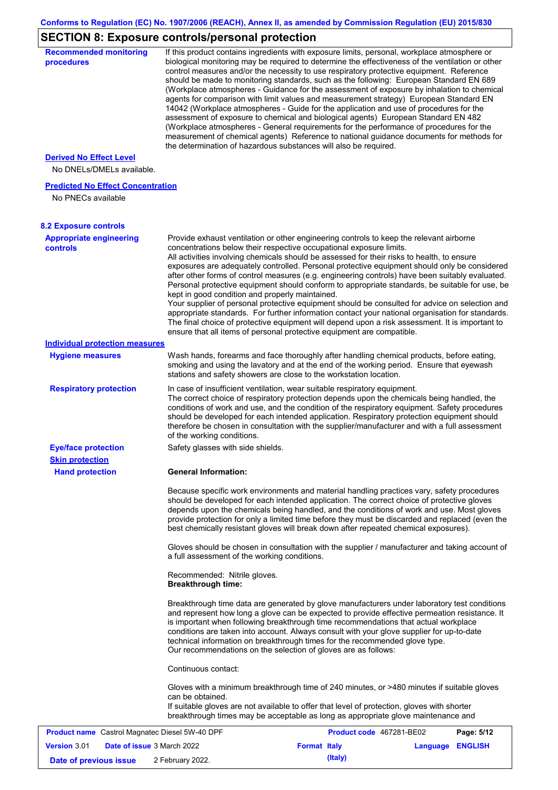# **SECTION 8: Exposure controls/personal protection**

| <b>Recommended monitoring</b><br>procedures                    |                                                           | If this product contains ingredients with exposure limits, personal, workplace atmosphere or<br>biological monitoring may be required to determine the effectiveness of the ventilation or other<br>control measures and/or the necessity to use respiratory protective equipment. Reference<br>should be made to monitoring standards, such as the following: European Standard EN 689<br>(Workplace atmospheres - Guidance for the assessment of exposure by inhalation to chemical<br>agents for comparison with limit values and measurement strategy) European Standard EN<br>14042 (Workplace atmospheres - Guide for the application and use of procedures for the<br>assessment of exposure to chemical and biological agents) European Standard EN 482<br>(Workplace atmospheres - General requirements for the performance of procedures for the<br>measurement of chemical agents) Reference to national guidance documents for methods for<br>the determination of hazardous substances will also be required. |                  |            |
|----------------------------------------------------------------|-----------------------------------------------------------|----------------------------------------------------------------------------------------------------------------------------------------------------------------------------------------------------------------------------------------------------------------------------------------------------------------------------------------------------------------------------------------------------------------------------------------------------------------------------------------------------------------------------------------------------------------------------------------------------------------------------------------------------------------------------------------------------------------------------------------------------------------------------------------------------------------------------------------------------------------------------------------------------------------------------------------------------------------------------------------------------------------------------|------------------|------------|
| <b>Derived No Effect Level</b><br>No DNELs/DMELs available.    |                                                           |                                                                                                                                                                                                                                                                                                                                                                                                                                                                                                                                                                                                                                                                                                                                                                                                                                                                                                                                                                                                                            |                  |            |
| <b>Predicted No Effect Concentration</b><br>No PNECs available |                                                           |                                                                                                                                                                                                                                                                                                                                                                                                                                                                                                                                                                                                                                                                                                                                                                                                                                                                                                                                                                                                                            |                  |            |
| <b>8.2 Exposure controls</b>                                   |                                                           |                                                                                                                                                                                                                                                                                                                                                                                                                                                                                                                                                                                                                                                                                                                                                                                                                                                                                                                                                                                                                            |                  |            |
| <b>Appropriate engineering</b><br><b>controls</b>              | kept in good condition and properly maintained.           | Provide exhaust ventilation or other engineering controls to keep the relevant airborne<br>concentrations below their respective occupational exposure limits.<br>All activities involving chemicals should be assessed for their risks to health, to ensure<br>exposures are adequately controlled. Personal protective equipment should only be considered<br>after other forms of control measures (e.g. engineering controls) have been suitably evaluated.<br>Personal protective equipment should conform to appropriate standards, be suitable for use, be<br>Your supplier of personal protective equipment should be consulted for advice on selection and<br>appropriate standards. For further information contact your national organisation for standards.<br>The final choice of protective equipment will depend upon a risk assessment. It is important to<br>ensure that all items of personal protective equipment are compatible.                                                                       |                  |            |
| <b>Individual protection measures</b>                          |                                                           |                                                                                                                                                                                                                                                                                                                                                                                                                                                                                                                                                                                                                                                                                                                                                                                                                                                                                                                                                                                                                            |                  |            |
| <b>Hygiene measures</b>                                        |                                                           | Wash hands, forearms and face thoroughly after handling chemical products, before eating,<br>smoking and using the lavatory and at the end of the working period. Ensure that eyewash<br>stations and safety showers are close to the workstation location.                                                                                                                                                                                                                                                                                                                                                                                                                                                                                                                                                                                                                                                                                                                                                                |                  |            |
| <b>Respiratory protection</b>                                  | of the working conditions.                                | In case of insufficient ventilation, wear suitable respiratory equipment.<br>The correct choice of respiratory protection depends upon the chemicals being handled, the<br>conditions of work and use, and the condition of the respiratory equipment. Safety procedures<br>should be developed for each intended application. Respiratory protection equipment should<br>therefore be chosen in consultation with the supplier/manufacturer and with a full assessment                                                                                                                                                                                                                                                                                                                                                                                                                                                                                                                                                    |                  |            |
| <b>Eye/face protection</b>                                     | Safety glasses with side shields.                         |                                                                                                                                                                                                                                                                                                                                                                                                                                                                                                                                                                                                                                                                                                                                                                                                                                                                                                                                                                                                                            |                  |            |
| <b>Skin protection</b><br><b>Hand protection</b>               | <b>General Information:</b>                               |                                                                                                                                                                                                                                                                                                                                                                                                                                                                                                                                                                                                                                                                                                                                                                                                                                                                                                                                                                                                                            |                  |            |
|                                                                | a full assessment of the working conditions.              | Because specific work environments and material handling practices vary, safety procedures<br>should be developed for each intended application. The correct choice of protective gloves<br>depends upon the chemicals being handled, and the conditions of work and use. Most gloves<br>provide protection for only a limited time before they must be discarded and replaced (even the<br>best chemically resistant gloves will break down after repeated chemical exposures).<br>Gloves should be chosen in consultation with the supplier / manufacturer and taking account of                                                                                                                                                                                                                                                                                                                                                                                                                                         |                  |            |
|                                                                | Recommended: Nitrile gloves.<br><b>Breakthrough time:</b> |                                                                                                                                                                                                                                                                                                                                                                                                                                                                                                                                                                                                                                                                                                                                                                                                                                                                                                                                                                                                                            |                  |            |
|                                                                |                                                           | Breakthrough time data are generated by glove manufacturers under laboratory test conditions<br>and represent how long a glove can be expected to provide effective permeation resistance. It<br>is important when following breakthrough time recommendations that actual workplace<br>conditions are taken into account. Always consult with your glove supplier for up-to-date<br>technical information on breakthrough times for the recommended glove type.<br>Our recommendations on the selection of gloves are as follows:                                                                                                                                                                                                                                                                                                                                                                                                                                                                                         |                  |            |
|                                                                | Continuous contact:                                       |                                                                                                                                                                                                                                                                                                                                                                                                                                                                                                                                                                                                                                                                                                                                                                                                                                                                                                                                                                                                                            |                  |            |
|                                                                | can be obtained.                                          | Gloves with a minimum breakthrough time of 240 minutes, or >480 minutes if suitable gloves<br>If suitable gloves are not available to offer that level of protection, gloves with shorter<br>breakthrough times may be acceptable as long as appropriate glove maintenance and                                                                                                                                                                                                                                                                                                                                                                                                                                                                                                                                                                                                                                                                                                                                             |                  |            |
| <b>Product name</b> Castrol Magnatec Diesel 5W-40 DPF          |                                                           | Product code 467281-BE02                                                                                                                                                                                                                                                                                                                                                                                                                                                                                                                                                                                                                                                                                                                                                                                                                                                                                                                                                                                                   |                  | Page: 5/12 |
| Version 3.01<br><b>Date of issue 3 March 2022</b>              |                                                           | <b>Format Italy</b>                                                                                                                                                                                                                                                                                                                                                                                                                                                                                                                                                                                                                                                                                                                                                                                                                                                                                                                                                                                                        | Language ENGLISH |            |
| Date of previous issue                                         | 2 February 2022.                                          | (Italy)                                                                                                                                                                                                                                                                                                                                                                                                                                                                                                                                                                                                                                                                                                                                                                                                                                                                                                                                                                                                                    |                  |            |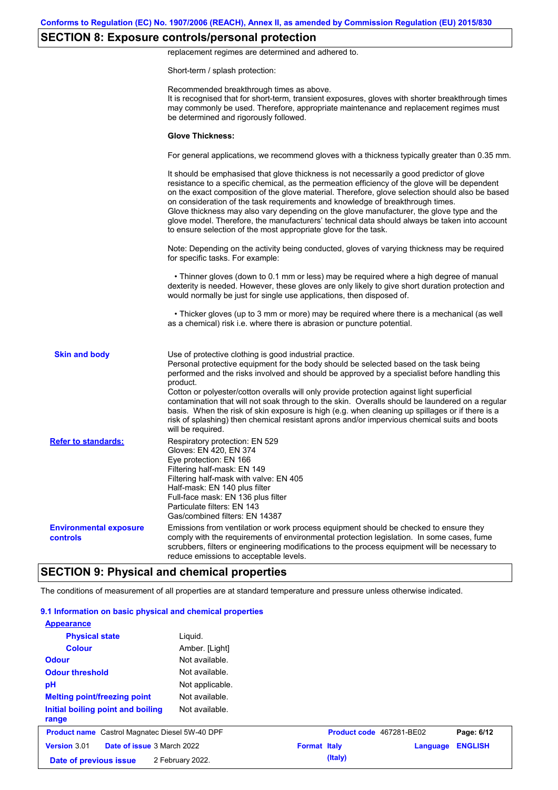## **SECTION 8: Exposure controls/personal protection**

replacement regimes are determined and adhered to.

Short-term / splash protection:

|                                           | Recommended breakthrough times as above.<br>It is recognised that for short-term, transient exposures, gloves with shorter breakthrough times<br>may commonly be used. Therefore, appropriate maintenance and replacement regimes must<br>be determined and rigorously followed.                                                                                                                                                                                                                                                                                                                                                                                                      |
|-------------------------------------------|---------------------------------------------------------------------------------------------------------------------------------------------------------------------------------------------------------------------------------------------------------------------------------------------------------------------------------------------------------------------------------------------------------------------------------------------------------------------------------------------------------------------------------------------------------------------------------------------------------------------------------------------------------------------------------------|
|                                           | <b>Glove Thickness:</b>                                                                                                                                                                                                                                                                                                                                                                                                                                                                                                                                                                                                                                                               |
|                                           | For general applications, we recommend gloves with a thickness typically greater than 0.35 mm.                                                                                                                                                                                                                                                                                                                                                                                                                                                                                                                                                                                        |
|                                           | It should be emphasised that glove thickness is not necessarily a good predictor of glove<br>resistance to a specific chemical, as the permeation efficiency of the glove will be dependent<br>on the exact composition of the glove material. Therefore, glove selection should also be based<br>on consideration of the task requirements and knowledge of breakthrough times.<br>Glove thickness may also vary depending on the glove manufacturer, the glove type and the<br>glove model. Therefore, the manufacturers' technical data should always be taken into account<br>to ensure selection of the most appropriate glove for the task.                                     |
|                                           | Note: Depending on the activity being conducted, gloves of varying thickness may be required<br>for specific tasks. For example:                                                                                                                                                                                                                                                                                                                                                                                                                                                                                                                                                      |
|                                           | • Thinner gloves (down to 0.1 mm or less) may be required where a high degree of manual<br>dexterity is needed. However, these gloves are only likely to give short duration protection and<br>would normally be just for single use applications, then disposed of.                                                                                                                                                                                                                                                                                                                                                                                                                  |
|                                           | • Thicker gloves (up to 3 mm or more) may be required where there is a mechanical (as well<br>as a chemical) risk i.e. where there is abrasion or puncture potential.                                                                                                                                                                                                                                                                                                                                                                                                                                                                                                                 |
| <b>Skin and body</b>                      | Use of protective clothing is good industrial practice.<br>Personal protective equipment for the body should be selected based on the task being<br>performed and the risks involved and should be approved by a specialist before handling this<br>product.<br>Cotton or polyester/cotton overalls will only provide protection against light superficial<br>contamination that will not soak through to the skin. Overalls should be laundered on a regular<br>basis. When the risk of skin exposure is high (e.g. when cleaning up spillages or if there is a<br>risk of splashing) then chemical resistant aprons and/or impervious chemical suits and boots<br>will be required. |
| <b>Refer to standards:</b>                | Respiratory protection: EN 529<br>Gloves: EN 420, EN 374<br>Eye protection: EN 166<br>Filtering half-mask: EN 149<br>Filtering half-mask with valve: EN 405<br>Half-mask: EN 140 plus filter<br>Full-face mask: EN 136 plus filter<br>Particulate filters: EN 143<br>Gas/combined filters: EN 14387                                                                                                                                                                                                                                                                                                                                                                                   |
| <b>Environmental exposure</b><br>controls | Emissions from ventilation or work process equipment should be checked to ensure they<br>comply with the requirements of environmental protection legislation. In some cases, fume<br>scrubbers, filters or engineering modifications to the process equipment will be necessary to<br>reduce emissions to acceptable levels.                                                                                                                                                                                                                                                                                                                                                         |

The conditions of measurement of all properties are at standard temperature and pressure unless otherwise indicated.

#### **9.1 Information on basic physical and chemical properties**

| <b>Appearance</b>                                     |                  |                     |                          |          |                |
|-------------------------------------------------------|------------------|---------------------|--------------------------|----------|----------------|
| <b>Physical state</b>                                 | Liquid.          |                     |                          |          |                |
| <b>Colour</b>                                         | Amber. [Light]   |                     |                          |          |                |
| <b>Odour</b>                                          | Not available.   |                     |                          |          |                |
| <b>Odour threshold</b>                                | Not available.   |                     |                          |          |                |
| pH                                                    | Not applicable.  |                     |                          |          |                |
| <b>Melting point/freezing point</b>                   | Not available.   |                     |                          |          |                |
| Initial boiling point and boiling<br>range            | Not available.   |                     |                          |          |                |
| <b>Product name</b> Castrol Magnatec Diesel 5W-40 DPF |                  |                     | Product code 467281-BE02 |          | Page: 6/12     |
| Version 3.01<br>Date of issue 3 March 2022            |                  | <b>Format Italy</b> |                          | Language | <b>ENGLISH</b> |
| Date of previous issue                                | 2 February 2022. |                     | (Italy)                  |          |                |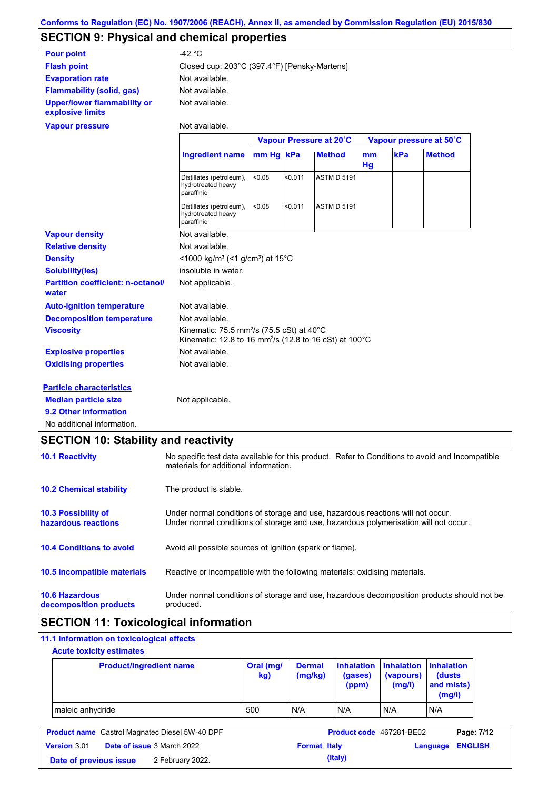# **SECTION 9: Physical and chemical properties**

| <b>Pour point</b>                                      | -42 $^{\circ}$ C                                                                                                                                  |           |         |                         |          |     |                         |
|--------------------------------------------------------|---------------------------------------------------------------------------------------------------------------------------------------------------|-----------|---------|-------------------------|----------|-----|-------------------------|
| <b>Flash point</b>                                     | Closed cup: 203°C (397.4°F) [Pensky-Martens]                                                                                                      |           |         |                         |          |     |                         |
| <b>Evaporation rate</b>                                | Not available.                                                                                                                                    |           |         |                         |          |     |                         |
| <b>Flammability (solid, gas)</b>                       | Not available.                                                                                                                                    |           |         |                         |          |     |                         |
| <b>Upper/lower flammability or</b><br>explosive limits | Not available.                                                                                                                                    |           |         |                         |          |     |                         |
| <b>Vapour pressure</b>                                 | Not available.                                                                                                                                    |           |         |                         |          |     |                         |
|                                                        |                                                                                                                                                   |           |         | Vapour Pressure at 20°C |          |     | Vapour pressure at 50°C |
|                                                        | <b>Ingredient name</b>                                                                                                                            | mm Hq kPa |         | <b>Method</b>           | mm<br>Hg | kPa | <b>Method</b>           |
|                                                        | Distillates (petroleum),<br>hydrotreated heavy<br>paraffinic                                                                                      | <0.08     | < 0.011 | <b>ASTM D 5191</b>      |          |     |                         |
|                                                        | Distillates (petroleum),<br>hydrotreated heavy<br>paraffinic                                                                                      | < 0.08    | < 0.011 | <b>ASTM D 5191</b>      |          |     |                         |
| <b>Vapour density</b>                                  | Not available.                                                                                                                                    |           |         |                         |          |     |                         |
| <b>Relative density</b>                                | Not available.                                                                                                                                    |           |         |                         |          |     |                         |
| <b>Density</b>                                         | <1000 kg/m <sup>3</sup> (<1 g/cm <sup>3</sup> ) at 15 <sup>°</sup> C                                                                              |           |         |                         |          |     |                         |
| <b>Solubility(ies)</b>                                 | insoluble in water.                                                                                                                               |           |         |                         |          |     |                         |
| <b>Partition coefficient: n-octanol/</b><br>water      | Not applicable.                                                                                                                                   |           |         |                         |          |     |                         |
| <b>Auto-ignition temperature</b>                       | Not available.                                                                                                                                    |           |         |                         |          |     |                         |
| <b>Decomposition temperature</b>                       | Not available.                                                                                                                                    |           |         |                         |          |     |                         |
| <b>Viscosity</b>                                       | Kinematic: 75.5 mm <sup>2</sup> /s (75.5 cSt) at 40 $^{\circ}$ C<br>Kinematic: 12.8 to 16 mm <sup>2</sup> /s (12.8 to 16 cSt) at 100 $^{\circ}$ C |           |         |                         |          |     |                         |
| <b>Explosive properties</b>                            | Not available.                                                                                                                                    |           |         |                         |          |     |                         |
| <b>Oxidising properties</b>                            | Not available.                                                                                                                                    |           |         |                         |          |     |                         |
| <b>Particle characteristics</b>                        |                                                                                                                                                   |           |         |                         |          |     |                         |
| <b>Median particle size</b>                            | Not applicable.                                                                                                                                   |           |         |                         |          |     |                         |
| 9.2 Other information                                  |                                                                                                                                                   |           |         |                         |          |     |                         |
| No additional information.                             |                                                                                                                                                   |           |         |                         |          |     |                         |

# **SECTION 10: Stability and reactivity**

| <b>10.1 Reactivity</b>                            | No specific test data available for this product. Refer to Conditions to avoid and Incompatible<br>materials for additional information.                                |
|---------------------------------------------------|-------------------------------------------------------------------------------------------------------------------------------------------------------------------------|
| <b>10.2 Chemical stability</b>                    | The product is stable.                                                                                                                                                  |
| <b>10.3 Possibility of</b><br>hazardous reactions | Under normal conditions of storage and use, hazardous reactions will not occur.<br>Under normal conditions of storage and use, hazardous polymerisation will not occur. |
| <b>10.4 Conditions to avoid</b>                   | Avoid all possible sources of ignition (spark or flame).                                                                                                                |
| <b>10.5 Incompatible materials</b>                | Reactive or incompatible with the following materials: oxidising materials.                                                                                             |
| <b>10.6 Hazardous</b><br>decomposition products   | Under normal conditions of storage and use, hazardous decomposition products should not be<br>produced.                                                                 |

# **SECTION 11: Toxicological information**

# **11.1 Information on toxicological effects**

### **Acute toxicity estimates**

| <b>Product/ingredient name</b> | Oral (mg/<br>kg) | <b>Dermal</b><br>(mg/kg) | (gases)<br>(ppm) | Inhalation Inhalation Inhalation<br>(vapours)<br>(mg/l) | (dusts)<br>and mists)<br>(mg/l) |
|--------------------------------|------------------|--------------------------|------------------|---------------------------------------------------------|---------------------------------|
| maleic anhydride               | 500              | N/A                      | N/A              | N/A                                                     | N/A                             |

| <b>Product name</b> Castrol Magnatec Diesel 5W-40 DPF |  |                                   |                     | <b>Product code</b> 467281-BE02 |                  | Page: 7/12 |
|-------------------------------------------------------|--|-----------------------------------|---------------------|---------------------------------|------------------|------------|
| Version 3.01                                          |  | <b>Date of issue 3 March 2022</b> | <b>Format Italy</b> |                                 | Language ENGLISH |            |
| Date of previous issue                                |  | 2 February 2022.                  |                     | (Italy)                         |                  |            |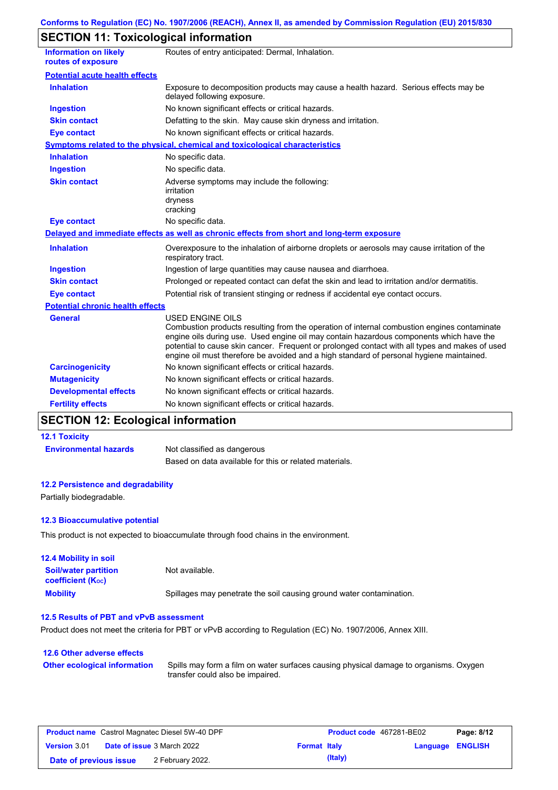# **SECTION 11: Toxicological information**

| <b>Information on likely</b><br>routes of exposure | Routes of entry anticipated: Dermal, Inhalation.                                                                                                                                                                                                                                                                                                                                                                |
|----------------------------------------------------|-----------------------------------------------------------------------------------------------------------------------------------------------------------------------------------------------------------------------------------------------------------------------------------------------------------------------------------------------------------------------------------------------------------------|
| <b>Potential acute health effects</b>              |                                                                                                                                                                                                                                                                                                                                                                                                                 |
| <b>Inhalation</b>                                  | Exposure to decomposition products may cause a health hazard. Serious effects may be<br>delayed following exposure.                                                                                                                                                                                                                                                                                             |
| <b>Ingestion</b>                                   | No known significant effects or critical hazards.                                                                                                                                                                                                                                                                                                                                                               |
| <b>Skin contact</b>                                | Defatting to the skin. May cause skin dryness and irritation.                                                                                                                                                                                                                                                                                                                                                   |
| <b>Eye contact</b>                                 | No known significant effects or critical hazards.                                                                                                                                                                                                                                                                                                                                                               |
|                                                    | Symptoms related to the physical, chemical and toxicological characteristics                                                                                                                                                                                                                                                                                                                                    |
| <b>Inhalation</b>                                  | No specific data.                                                                                                                                                                                                                                                                                                                                                                                               |
| <b>Ingestion</b>                                   | No specific data.                                                                                                                                                                                                                                                                                                                                                                                               |
| <b>Skin contact</b>                                | Adverse symptoms may include the following:<br>irritation<br>dryness<br>cracking                                                                                                                                                                                                                                                                                                                                |
| <b>Eye contact</b>                                 | No specific data.                                                                                                                                                                                                                                                                                                                                                                                               |
|                                                    | Delayed and immediate effects as well as chronic effects from short and long-term exposure                                                                                                                                                                                                                                                                                                                      |
| <b>Inhalation</b>                                  | Overexposure to the inhalation of airborne droplets or aerosols may cause irritation of the<br>respiratory tract.                                                                                                                                                                                                                                                                                               |
| <b>Ingestion</b>                                   | Ingestion of large quantities may cause nausea and diarrhoea.                                                                                                                                                                                                                                                                                                                                                   |
| <b>Skin contact</b>                                | Prolonged or repeated contact can defat the skin and lead to irritation and/or dermatitis.                                                                                                                                                                                                                                                                                                                      |
| <b>Eye contact</b>                                 | Potential risk of transient stinging or redness if accidental eye contact occurs.                                                                                                                                                                                                                                                                                                                               |
| <b>Potential chronic health effects</b>            |                                                                                                                                                                                                                                                                                                                                                                                                                 |
| <b>General</b>                                     | <b>USED ENGINE OILS</b><br>Combustion products resulting from the operation of internal combustion engines contaminate<br>engine oils during use. Used engine oil may contain hazardous components which have the<br>potential to cause skin cancer. Frequent or prolonged contact with all types and makes of used<br>engine oil must therefore be avoided and a high standard of personal hygiene maintained. |
| <b>Carcinogenicity</b>                             | No known significant effects or critical hazards.                                                                                                                                                                                                                                                                                                                                                               |
| <b>Mutagenicity</b>                                | No known significant effects or critical hazards.                                                                                                                                                                                                                                                                                                                                                               |
| <b>Developmental effects</b>                       | No known significant effects or critical hazards.                                                                                                                                                                                                                                                                                                                                                               |
| <b>Fertility effects</b>                           | No known significant effects or critical hazards.                                                                                                                                                                                                                                                                                                                                                               |

# **SECTION 12: Ecological information**

#### **12.1 Toxicity**

**Environmental hazards** Not classified as dangerous Based on data available for this or related materials.

#### **12.2 Persistence and degradability**

Partially biodegradable.

#### **12.3 Bioaccumulative potential**

This product is not expected to bioaccumulate through food chains in the environment.

| <b>12.4 Mobility in soil</b>                                  |                                                                      |
|---------------------------------------------------------------|----------------------------------------------------------------------|
| <b>Soil/water partition</b><br>coefficient (K <sub>oc</sub> ) | Not available.                                                       |
| <b>Mobility</b>                                               | Spillages may penetrate the soil causing ground water contamination. |

### **12.5 Results of PBT and vPvB assessment**

Product does not meet the criteria for PBT or vPvB according to Regulation (EC) No. 1907/2006, Annex XIII.

| 12.6 Other adverse effects          |                                                                                                                           |
|-------------------------------------|---------------------------------------------------------------------------------------------------------------------------|
| <b>Other ecological information</b> | Spills may form a film on water surfaces causing physical damage to organisms. Oxygen<br>transfer could also be impaired. |

| <b>Product name</b> Castrol Magnatec Diesel 5W-40 DPF |  |                                   |                     | Product code 467281-BE02 |                  | Page: 8/12 |
|-------------------------------------------------------|--|-----------------------------------|---------------------|--------------------------|------------------|------------|
| <b>Version 3.01</b>                                   |  | <b>Date of issue 3 March 2022</b> | <b>Format Italy</b> |                          | Language ENGLISH |            |
| Date of previous issue                                |  | 2 February 2022.                  |                     | (Italy)                  |                  |            |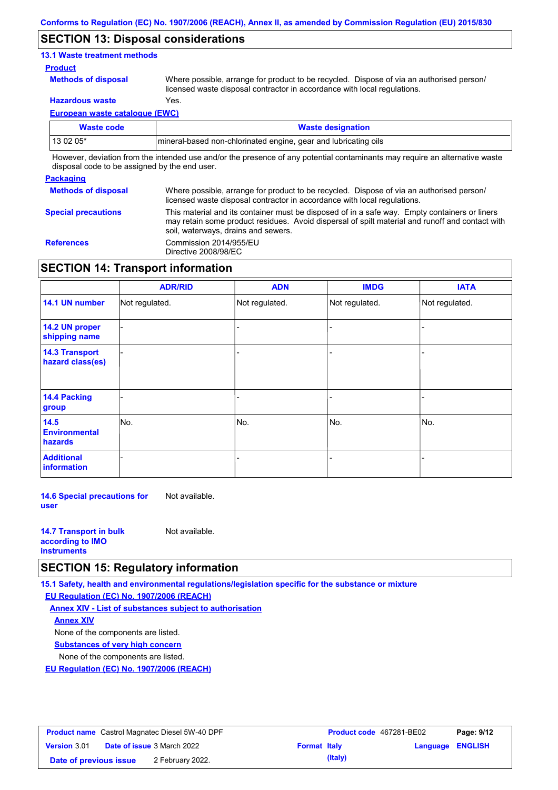### **SECTION 13: Disposal considerations**

### **13.1 Waste treatment methods**

#### **Product**

**Methods of disposal**

Where possible, arrange for product to be recycled. Dispose of via an authorised person/ licensed waste disposal contractor in accordance with local regulations.

**Hazardous waste** Yes.

**European waste catalogue (EWC)**

| Waste code | <b>Waste designation</b>                                                                                                    |
|------------|-----------------------------------------------------------------------------------------------------------------------------|
| $130205*$  | Imineral-based non-chlorinated engine, gear and lubricating oils                                                            |
|            | However, deviation from the intended use and/or the presence of any potential contaminants may require an alternative waste |

disposal code to be assigned by the end user.

#### **Packaging Methods of disposal Special precautions** Where possible, arrange for product to be recycled. Dispose of via an authorised person/ licensed waste disposal contractor in accordance with local regulations. This material and its container must be disposed of in a safe way. Empty containers or liners may retain some product residues. Avoid dispersal of spilt material and runoff and contact with soil, waterways, drains and sewers. **References** Commission 2014/955/EU Directive 2008/98/EC

### **SECTION 14: Transport information**

|                                           | <b>ADR/RID</b> | <b>ADN</b>     | <b>IMDG</b>    | <b>IATA</b>    |
|-------------------------------------------|----------------|----------------|----------------|----------------|
| 14.1 UN number                            | Not regulated. | Not regulated. | Not regulated. | Not regulated. |
| 14.2 UN proper<br>shipping name           |                |                |                |                |
| <b>14.3 Transport</b><br>hazard class(es) |                |                |                |                |
| 14.4 Packing<br>group                     |                |                |                |                |
| 14.5<br><b>Environmental</b><br>hazards   | No.            | No.            | No.            | No.            |
| <b>Additional</b><br>information          |                |                |                |                |

**14.6 Special precautions for user** Not available.

| <b>14.7 Transport in bulk</b> | Not available. |
|-------------------------------|----------------|
| according to <b>IMO</b>       |                |
| <b>instruments</b>            |                |

### **SECTION 15: Regulatory information**

**15.1 Safety, health and environmental regulations/legislation specific for the substance or mixture**

**EU Regulation (EC) No. 1907/2006 (REACH)**

**Annex XIV - List of substances subject to authorisation Substances of very high concern** None of the components are listed. None of the components are listed. **Annex XIV**

**EU Regulation (EC) No. 1907/2006 (REACH)**

| <b>Product name</b> Castrol Magnatec Diesel 5W-40 DPF |  |                                   | Product code 467281-BE02 |         | Page: 9/12       |  |
|-------------------------------------------------------|--|-----------------------------------|--------------------------|---------|------------------|--|
| <b>Version 3.01</b>                                   |  | <b>Date of issue 3 March 2022</b> | <b>Format Italy</b>      |         | Language ENGLISH |  |
| Date of previous issue                                |  | 2 February 2022.                  |                          | (Italy) |                  |  |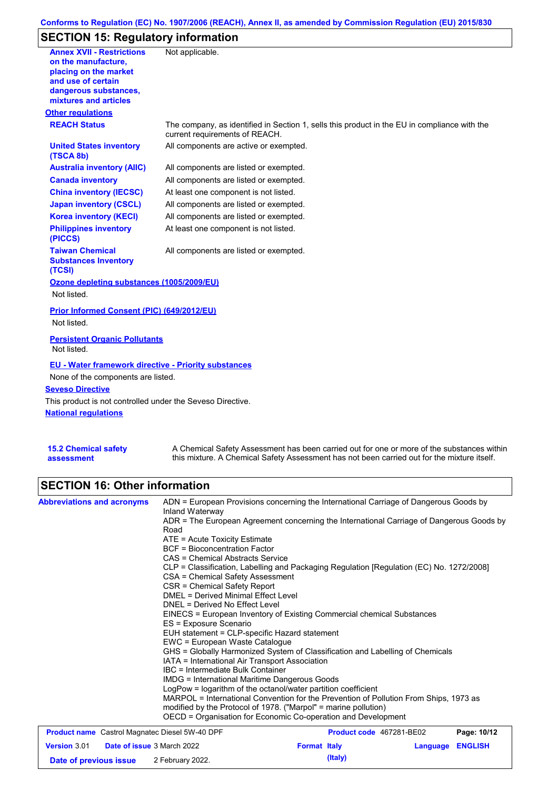### **Conforms to Regulation (EC) No. 1907/2006 (REACH), Annex II, as amended by Commission Regulation (EU) 2015/830**

# **SECTION 15: Regulatory information**

| <b>Annex XVII - Restrictions</b><br>on the manufacture.<br>placing on the market<br>and use of certain<br>dangerous substances,<br>mixtures and articles | Not applicable.                                                                                                                |
|----------------------------------------------------------------------------------------------------------------------------------------------------------|--------------------------------------------------------------------------------------------------------------------------------|
| <b>Other regulations</b>                                                                                                                                 |                                                                                                                                |
| <b>REACH Status</b>                                                                                                                                      | The company, as identified in Section 1, sells this product in the EU in compliance with the<br>current requirements of REACH. |
| <b>United States inventory</b><br>(TSCA 8b)                                                                                                              | All components are active or exempted.                                                                                         |
| <b>Australia inventory (AIIC)</b>                                                                                                                        | All components are listed or exempted.                                                                                         |
| <b>Canada inventory</b>                                                                                                                                  | All components are listed or exempted.                                                                                         |
| <b>China inventory (IECSC)</b>                                                                                                                           | At least one component is not listed.                                                                                          |
| <b>Japan inventory (CSCL)</b>                                                                                                                            | All components are listed or exempted.                                                                                         |
| <b>Korea inventory (KECI)</b>                                                                                                                            | All components are listed or exempted.                                                                                         |
| <b>Philippines inventory</b><br>(PICCS)                                                                                                                  | At least one component is not listed.                                                                                          |
| <b>Taiwan Chemical</b><br><b>Substances Inventory</b><br>(TCSI)                                                                                          | All components are listed or exempted.                                                                                         |
| Ozone depleting substances (1005/2009/EU)                                                                                                                |                                                                                                                                |
| Not listed.                                                                                                                                              |                                                                                                                                |
| Prior Informed Consent (PIC) (649/2012/EU)                                                                                                               |                                                                                                                                |
| Not listed.                                                                                                                                              |                                                                                                                                |
| <b>Persistent Organic Pollutants</b><br>Not listed.                                                                                                      |                                                                                                                                |
| <b>EU - Water framework directive - Priority substances</b>                                                                                              |                                                                                                                                |
| None of the components are listed.                                                                                                                       |                                                                                                                                |
| <b>Seveso Directive</b>                                                                                                                                  |                                                                                                                                |
| This product is not controlled under the Seveso Directive.                                                                                               |                                                                                                                                |
| <b>National requlations</b>                                                                                                                              |                                                                                                                                |
|                                                                                                                                                          |                                                                                                                                |

| <b>15.2 Chemical safety</b> | A Chemical Safety Assessment has been carried out for one or more of the substances within  |
|-----------------------------|---------------------------------------------------------------------------------------------|
| assessment                  | this mixture. A Chemical Safety Assessment has not been carried out for the mixture itself. |

# **SECTION 16: Other information**

| <b>Abbreviations and acronyms</b>                     | Inland Waterway                                                                                                                                                                                                                                                                        | ADN = European Provisions concerning the International Carriage of Dangerous Goods by    |          |                |  |  |  |
|-------------------------------------------------------|----------------------------------------------------------------------------------------------------------------------------------------------------------------------------------------------------------------------------------------------------------------------------------------|------------------------------------------------------------------------------------------|----------|----------------|--|--|--|
|                                                       | ADR = The European Agreement concerning the International Carriage of Dangerous Goods by<br>Road                                                                                                                                                                                       |                                                                                          |          |                |  |  |  |
|                                                       | $ATE = Acute Toxicity Estimate$                                                                                                                                                                                                                                                        |                                                                                          |          |                |  |  |  |
|                                                       | <b>BCF</b> = Bioconcentration Factor                                                                                                                                                                                                                                                   |                                                                                          |          |                |  |  |  |
|                                                       | <b>CAS = Chemical Abstracts Service</b>                                                                                                                                                                                                                                                |                                                                                          |          |                |  |  |  |
|                                                       |                                                                                                                                                                                                                                                                                        | CLP = Classification, Labelling and Packaging Regulation [Regulation (EC) No. 1272/2008] |          |                |  |  |  |
|                                                       | CSA = Chemical Safety Assessment                                                                                                                                                                                                                                                       |                                                                                          |          |                |  |  |  |
|                                                       | CSR = Chemical Safety Report                                                                                                                                                                                                                                                           |                                                                                          |          |                |  |  |  |
|                                                       | <b>DMEL = Derived Minimal Effect Level</b><br>DNEL = Derived No Effect Level<br>EINECS = European Inventory of Existing Commercial chemical Substances<br>ES = Exposure Scenario<br>EUH statement = CLP-specific Hazard statement                                                      |                                                                                          |          |                |  |  |  |
|                                                       |                                                                                                                                                                                                                                                                                        |                                                                                          |          |                |  |  |  |
|                                                       |                                                                                                                                                                                                                                                                                        |                                                                                          |          |                |  |  |  |
|                                                       |                                                                                                                                                                                                                                                                                        |                                                                                          |          |                |  |  |  |
|                                                       |                                                                                                                                                                                                                                                                                        |                                                                                          |          |                |  |  |  |
|                                                       | EWC = European Waste Catalogue                                                                                                                                                                                                                                                         |                                                                                          |          |                |  |  |  |
|                                                       | GHS = Globally Harmonized System of Classification and Labelling of Chemicals<br>IATA = International Air Transport Association<br>IBC = Intermediate Bulk Container<br>IMDG = International Maritime Dangerous Goods<br>LogPow = logarithm of the octanol/water partition coefficient |                                                                                          |          |                |  |  |  |
|                                                       |                                                                                                                                                                                                                                                                                        |                                                                                          |          |                |  |  |  |
|                                                       |                                                                                                                                                                                                                                                                                        |                                                                                          |          |                |  |  |  |
|                                                       |                                                                                                                                                                                                                                                                                        |                                                                                          |          |                |  |  |  |
|                                                       |                                                                                                                                                                                                                                                                                        |                                                                                          |          |                |  |  |  |
|                                                       | MARPOL = International Convention for the Prevention of Pollution From Ships, 1973 as                                                                                                                                                                                                  |                                                                                          |          |                |  |  |  |
|                                                       | modified by the Protocol of 1978. ("Marpol" = marine pollution)                                                                                                                                                                                                                        |                                                                                          |          |                |  |  |  |
|                                                       |                                                                                                                                                                                                                                                                                        | OECD = Organisation for Economic Co-operation and Development                            |          |                |  |  |  |
| <b>Product name</b> Castrol Magnatec Diesel 5W-40 DPF |                                                                                                                                                                                                                                                                                        | Product code 467281-BE02                                                                 |          | Page: 10/12    |  |  |  |
| <b>Version 3.01</b><br>Date of issue 3 March 2022     |                                                                                                                                                                                                                                                                                        | <b>Format Italy</b>                                                                      | Language | <b>ENGLISH</b> |  |  |  |

**Date of previous issue** 2 February 2022.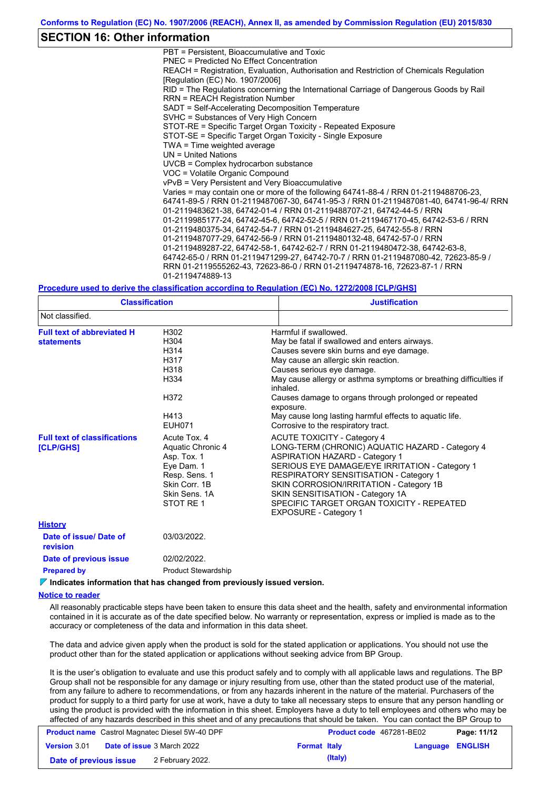### **SECTION 16: Other information**

PBT = Persistent, Bioaccumulative and Toxic PNEC = Predicted No Effect Concentration REACH = Registration, Evaluation, Authorisation and Restriction of Chemicals Regulation [Regulation (EC) No. 1907/2006] RID = The Regulations concerning the International Carriage of Dangerous Goods by Rail RRN = REACH Registration Number SADT = Self-Accelerating Decomposition Temperature SVHC = Substances of Very High Concern STOT-RE = Specific Target Organ Toxicity - Repeated Exposure STOT-SE = Specific Target Organ Toxicity - Single Exposure TWA = Time weighted average UN = United Nations UVCB = Complex hydrocarbon substance VOC = Volatile Organic Compound vPvB = Very Persistent and Very Bioaccumulative Varies = may contain one or more of the following 64741-88-4 / RRN 01-2119488706-23, 64741-89-5 / RRN 01-2119487067-30, 64741-95-3 / RRN 01-2119487081-40, 64741-96-4/ RRN 01-2119483621-38, 64742-01-4 / RRN 01-2119488707-21, 64742-44-5 / RRN 01-2119985177-24, 64742-45-6, 64742-52-5 / RRN 01-2119467170-45, 64742-53-6 / RRN 01-2119480375-34, 64742-54-7 / RRN 01-2119484627-25, 64742-55-8 / RRN 01-2119487077-29, 64742-56-9 / RRN 01-2119480132-48, 64742-57-0 / RRN 01-2119489287-22, 64742-58-1, 64742-62-7 / RRN 01-2119480472-38, 64742-63-8, 64742-65-0 / RRN 01-2119471299-27, 64742-70-7 / RRN 01-2119487080-42, 72623-85-9 / RRN 01-2119555262-43, 72623-86-0 / RRN 01-2119474878-16, 72623-87-1 / RRN 01-2119474889-13

#### **Procedure used to derive the classification according to Regulation (EC) No. 1272/2008 [CLP/GHS]**

| <b>Classification</b>                                   |                                                                                                                                | <b>Justification</b>                                                                                                                                                                                                                                                                                                                                                                                                                              |
|---------------------------------------------------------|--------------------------------------------------------------------------------------------------------------------------------|---------------------------------------------------------------------------------------------------------------------------------------------------------------------------------------------------------------------------------------------------------------------------------------------------------------------------------------------------------------------------------------------------------------------------------------------------|
| Not classified.                                         |                                                                                                                                |                                                                                                                                                                                                                                                                                                                                                                                                                                                   |
| <b>Full text of abbreviated H</b><br><b>statements</b>  | H302<br>H <sub>304</sub><br>H <sub>3</sub> 14<br>H317<br>H318<br>H334<br>H372<br>H413<br><b>EUH071</b>                         | Harmful if swallowed.<br>May be fatal if swallowed and enters airways.<br>Causes severe skin burns and eye damage.<br>May cause an allergic skin reaction.<br>Causes serious eye damage.<br>May cause allergy or asthma symptoms or breathing difficulties if<br>inhaled.<br>Causes damage to organs through prolonged or repeated<br>exposure.<br>May cause long lasting harmful effects to aquatic life.<br>Corrosive to the respiratory tract. |
| <b>Full text of classifications</b><br><b>[CLP/GHS]</b> | Acute Tox, 4<br>Aquatic Chronic 4<br>Asp. Tox. 1<br>Eye Dam. 1<br>Resp. Sens. 1<br>Skin Corr. 1B<br>Skin Sens, 1A<br>STOT RE 1 | <b>ACUTE TOXICITY - Category 4</b><br>LONG-TERM (CHRONIC) AQUATIC HAZARD - Category 4<br><b>ASPIRATION HAZARD - Category 1</b><br>SERIOUS EYE DAMAGE/EYE IRRITATION - Category 1<br><b>RESPIRATORY SENSITISATION - Category 1</b><br>SKIN CORROSION/IRRITATION - Category 1B<br>SKIN SENSITISATION - Category 1A<br>SPECIFIC TARGET ORGAN TOXICITY - REPEATED<br><b>EXPOSURE - Category 1</b>                                                     |
| <b>History</b>                                          |                                                                                                                                |                                                                                                                                                                                                                                                                                                                                                                                                                                                   |
| Date of issue/Date of<br>revision                       | 03/03/2022.                                                                                                                    |                                                                                                                                                                                                                                                                                                                                                                                                                                                   |
| Date of previous issue                                  | 02/02/2022.                                                                                                                    |                                                                                                                                                                                                                                                                                                                                                                                                                                                   |
| <b>Prepared by</b>                                      | <b>Product Stewardship</b>                                                                                                     |                                                                                                                                                                                                                                                                                                                                                                                                                                                   |

**Indicates information that has changed from previously issued version.**

#### **Notice to reader**

All reasonably practicable steps have been taken to ensure this data sheet and the health, safety and environmental information contained in it is accurate as of the date specified below. No warranty or representation, express or implied is made as to the accuracy or completeness of the data and information in this data sheet.

The data and advice given apply when the product is sold for the stated application or applications. You should not use the product other than for the stated application or applications without seeking advice from BP Group.

It is the user's obligation to evaluate and use this product safely and to comply with all applicable laws and regulations. The BP Group shall not be responsible for any damage or injury resulting from use, other than the stated product use of the material, from any failure to adhere to recommendations, or from any hazards inherent in the nature of the material. Purchasers of the product for supply to a third party for use at work, have a duty to take all necessary steps to ensure that any person handling or using the product is provided with the information in this sheet. Employers have a duty to tell employees and others who may be affected of any hazards described in this sheet and of any precautions that should be taken. You can contact the BP Group to

| <b>Product name</b> Castrol Magnatec Diesel 5W-40 DPF |  | <b>Product code</b> 467281-BE02   |                     | Page: 11/12 |                  |  |
|-------------------------------------------------------|--|-----------------------------------|---------------------|-------------|------------------|--|
| <b>Version 3.01</b>                                   |  | <b>Date of issue 3 March 2022</b> | <b>Format Italy</b> |             | Language ENGLISH |  |
| Date of previous issue                                |  | 2 February 2022.                  |                     | (Italy)     |                  |  |